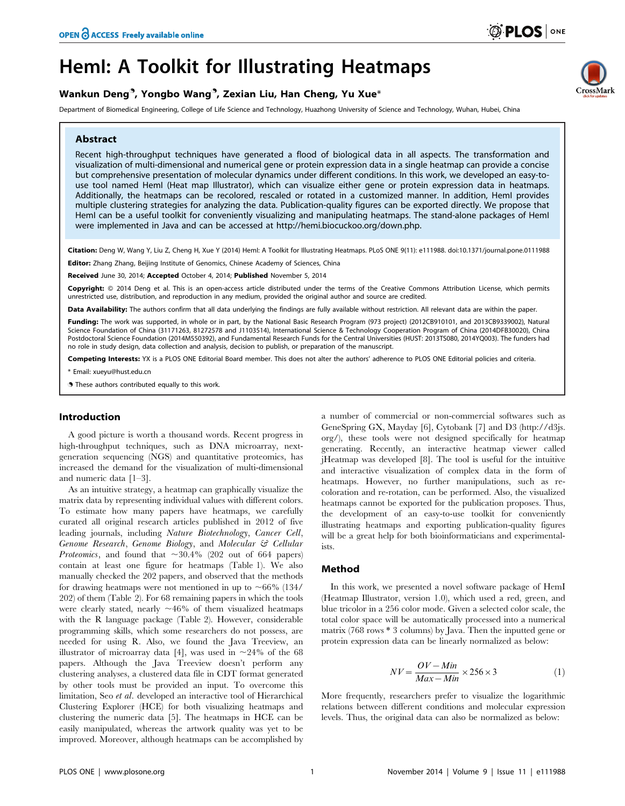# HemI: A Toolkit for Illustrating Heatmaps

# Wankun Deng<sup>9</sup>, Yongbo Wang<sup>9</sup>, Zexian Liu, Han Cheng, Yu Xue\*

Department of Biomedical Engineering, College of Life Science and Technology, Huazhong University of Science and Technology, Wuhan, Hubei, China

# Abstract

Recent high-throughput techniques have generated a flood of biological data in all aspects. The transformation and visualization of multi-dimensional and numerical gene or protein expression data in a single heatmap can provide a concise but comprehensive presentation of molecular dynamics under different conditions. In this work, we developed an easy-touse tool named HemI (Heat map Illustrator), which can visualize either gene or protein expression data in heatmaps. Additionally, the heatmaps can be recolored, rescaled or rotated in a customized manner. In addition, HemI provides multiple clustering strategies for analyzing the data. Publication-quality figures can be exported directly. We propose that HemI can be a useful toolkit for conveniently visualizing and manipulating heatmaps. The stand-alone packages of HemI were implemented in Java and can be accessed at [http://hemi.biocuckoo.org/down.php.](http://hemi.biocuckoo.org/down.php)

Citation: Deng W, Wang Y, Liu Z, Cheng H, Xue Y (2014) Heml: A Toolkit for Illustrating Heatmaps. PLoS ONE 9(11): e111988. doi:10.1371/journal.pone.0111988

Editor: Zhang Zhang, Beijing Institute of Genomics, Chinese Academy of Sciences, China

Received June 30, 2014; Accepted October 4, 2014; Published November 5, 2014

Copyright: © 2014 Deng et al. This is an open-access article distributed under the terms of the [Creative Commons Attribution License,](http://creativecommons.org/licenses/by/4.0/) which permits unrestricted use, distribution, and reproduction in any medium, provided the original author and source are credited.

Data Availability: The authors confirm that all data underlying the findings are fully available without restriction. All relevant data are within the paper.

Funding: The work was supported, in whole or in part, by the National Basic Research Program (973 project) (2012CB910101, and 2013CB9339002), Natural Science Foundation of China (31171263, 81272578 and J1103514), International Science & Technology Cooperation Program of China (2014DFB30020), China Postdoctoral Science Foundation (2014M550392), and Fundamental Research Funds for the Central Universities (HUST: 2013TS080, 2014YQ003). The funders had no role in study design, data collection and analysis, decision to publish, or preparation of the manuscript.

Competing Interests: YX is a PLOS ONE Editorial Board member. This does not alter the authors' adherence to PLOS ONE Editorial policies and criteria.

\* Email: xueyu@hust.edu.cn

**.** These authors contributed equally to this work.

### Introduction

A good picture is worth a thousand words. Recent progress in high-throughput techniques, such as DNA microarray, nextgeneration sequencing (NGS) and quantitative proteomics, has increased the demand for the visualization of multi-dimensional and numeric data [1–3].

As an intuitive strategy, a heatmap can graphically visualize the matrix data by representing individual values with different colors. To estimate how many papers have heatmaps, we carefully curated all original research articles published in 2012 of five leading journals, including Nature Biotechnology, Cancer Cell, Genome Research, Genome Biology, and Molecular & Cellular *Proteomics*, and found that  $\sim 30.4\%$  (202 out of 664 papers) contain at least one figure for heatmaps (Table 1). We also manually checked the 202 papers, and observed that the methods for drawing heatmaps were not mentioned in up to  $\sim 66\%$  (134/ 202) of them (Table 2). For 68 remaining papers in which the tools were clearly stated, nearly  $\sim$ 46% of them visualized heatmaps with the R language package (Table 2). However, considerable programming skills, which some researchers do not possess, are needed for using R. Also, we found the Java Treeview, an illustrator of microarray data [4], was used in  $\sim$ 24% of the 68 papers. Although the Java Treeview doesn't perform any clustering analyses, a clustered data file in CDT format generated by other tools must be provided an input. To overcome this limitation, Seo et al. developed an interactive tool of Hierarchical Clustering Explorer (HCE) for both visualizing heatmaps and clustering the numeric data [5]. The heatmaps in HCE can be easily manipulated, whereas the artwork quality was yet to be improved. Moreover, although heatmaps can be accomplished by

a number of commercial or non-commercial softwares such as GeneSpring GX, Mayday [6], Cytobank [7] and D3 [\(http://d3js.](http://d3js.org/) [org/\)](http://d3js.org/), these tools were not designed specifically for heatmap generating. Recently, an interactive heatmap viewer called jHeatmap was developed [8]. The tool is useful for the intuitive and interactive visualization of complex data in the form of heatmaps. However, no further manipulations, such as recoloration and re-rotation, can be performed. Also, the visualized heatmaps cannot be exported for the publication proposes. Thus, the development of an easy-to-use toolkit for conveniently illustrating heatmaps and exporting publication-quality figures will be a great help for both bioinformaticians and experimentalists.

# Method

In this work, we presented a novel software package of HemI (Heatmap Illustrator, version 1.0), which used a red, green, and blue tricolor in a 256 color mode. Given a selected color scale, the total color space will be automatically processed into a numerical matrix (768 rows \* 3 columns) by Java. Then the inputted gene or protein expression data can be linearly normalized as below:

$$
NV = \frac{OV - Min}{Max - Min} \times 256 \times 3
$$
 (1)

More frequently, researchers prefer to visualize the logarithmic relations between different conditions and molecular expression levels. Thus, the original data can also be normalized as below:

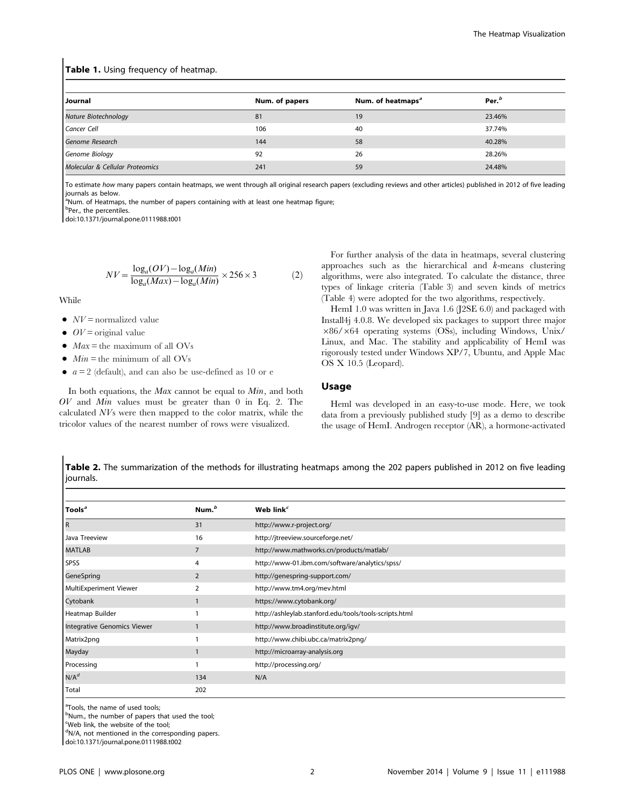## Table 1. Using frequency of heatmap.

| Journal                         | Num. of papers | Num. of heatmaps <sup>a</sup> | Per. <sup>b</sup> |
|---------------------------------|----------------|-------------------------------|-------------------|
| Nature Biotechnology            | 81             | 19                            | 23.46%            |
| Cancer Cell                     | 106            | 40                            | 37.74%            |
| Genome Research                 | 144            | 58                            | 40.28%            |
| Genome Biology                  | 92             | 26                            | 28.26%            |
| Molecular & Cellular Proteomics | 241            | 59                            | 24.48%            |

To estimate how many papers contain heatmaps, we went through all original research papers (excluding reviews and other articles) published in 2012 of five leading journals as below.

<sup>a</sup>Num. of Heatmaps, the number of papers containing with at least one heatmap figure;

<sup>b</sup>Per., the percentiles.

doi:10.1371/journal.pone.0111988.t001

$$
NV = \frac{\log_a (OV) - \log_a (Min)}{\log_a (Max) - \log_a (Min)} \times 256 \times 3
$$
 (2)

While

- $\bullet$   $NV =$  normalized value
- $\bullet$  *OV* = original value
- $\bullet$  Max = the maximum of all OVs
- $\bullet$  Min = the minimum of all OVs
- $\bullet$   $a = 2$  (default), and can also be use-defined as 10 or e

In both equations, the Max cannot be equal to Min, and both  $OV$  and  $Min$  values must be greater than 0 in Eq. 2. The calculated NVs were then mapped to the color matrix, while the tricolor values of the nearest number of rows were visualized.

For further analysis of the data in heatmaps, several clustering approaches such as the hierarchical and k-means clustering algorithms, were also integrated. To calculate the distance, three types of linkage criteria (Table 3) and seven kinds of metrics (Table 4) were adopted for the two algorithms, respectively.

HemI 1.0 was written in Java 1.6 (J2SE 6.0) and packaged with Install4j 4.0.8. We developed six packages to support three major  $\times86/\times64$  operating systems (OSs), including Windows, Unix/ Linux, and Mac. The stability and applicability of HemI was rigorously tested under Windows XP/7, Ubuntu, and Apple Mac OS X 10.5 (Leopard).

#### Usage

Heml was developed in an easy-to-use mode. Here, we took data from a previously published study [9] as a demo to describe the usage of HemI. Androgen receptor (AR), a hormone-activated

Table 2. The summarization of the methods for illustrating heatmaps among the 202 papers published in 2012 on five leading journals.

| Tools <sup>a</sup>          | Num. <sup>b</sup> | Web link $^c$                                          |
|-----------------------------|-------------------|--------------------------------------------------------|
| l R                         | 31                | http://www.r-project.org/                              |
| Java Treeview               | 16                | http://jtreeview.sourceforge.net/                      |
| <b>MATLAB</b>               |                   | http://www.mathworks.cn/products/matlab/               |
| <b>SPSS</b>                 | 4                 | http://www-01.ibm.com/software/analytics/spss/         |
| GeneSpring                  | $\overline{2}$    | http://genespring-support.com/                         |
| MultiExperiment Viewer      |                   | http://www.tm4.org/mev.html                            |
| Cytobank                    |                   | https://www.cytobank.org/                              |
| Heatmap Builder             |                   | http://ashleylab.stanford.edu/tools/tools-scripts.html |
| Integrative Genomics Viewer |                   | http://www.broadinstitute.org/igv/                     |
| Matrix2png                  |                   | http://www.chibi.ubc.ca/matrix2png/                    |
| Mayday                      |                   | http://microarray-analysis.org                         |
| Processing                  |                   | http://processing.org/                                 |
| $N/A^d$                     | 134               | N/A                                                    |
| Total                       | 202               |                                                        |

<sup>a</sup>Tools, the name of used tools;

<sup>b</sup>Num., the number of papers that used the tool;

Web link, the website of the tool;

<sup>d</sup>N/A, not mentioned in the corresponding papers.

doi:10.1371/journal.pone.0111988.t002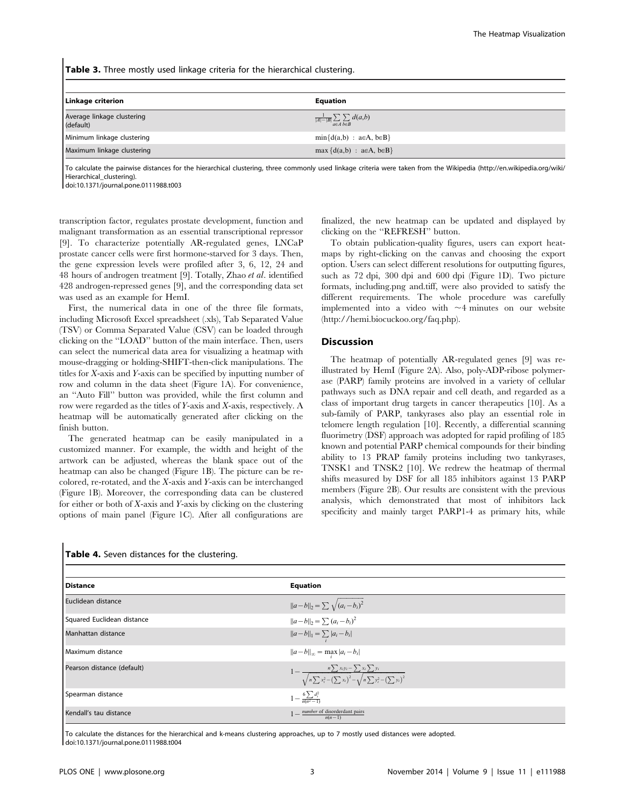Table 3. Three mostly used linkage criteria for the hierarchical clustering.

| <b>Linkage criterion</b>                | <b>Equation</b>                                     |
|-----------------------------------------|-----------------------------------------------------|
| Average linkage clustering<br>(default) | $\frac{1}{ A - B }\sum_{a\in A}\sum_{b\in B}d(a,b)$ |
| Minimum linkage clustering              | $min{d(a,b) : a \in A, b \in B}$                    |
| Maximum linkage clustering              | $max \{d(a,b) : a \in A, b \in B\}$                 |

To calculate the pairwise distances for the hierarchical clustering, three commonly used linkage criteria were taken from the Wikipedia ([http://en.wikipedia.org/wiki/](http://en.wikipedia.org/wiki/Hierarchical_clustering) [Hierarchical\\_clustering\)](http://en.wikipedia.org/wiki/Hierarchical_clustering).

doi:10.1371/journal.pone.0111988.t003

transcription factor, regulates prostate development, function and malignant transformation as an essential transcriptional repressor [9]. To characterize potentially AR-regulated genes, LNCaP prostate cancer cells were first hormone-starved for 3 days. Then, the gene expression levels were profiled after 3, 6, 12, 24 and 48 hours of androgen treatment [9]. Totally, Zhao et al. identified 428 androgen-repressed genes [9], and the corresponding data set was used as an example for HemI.

First, the numerical data in one of the three file formats, including Microsoft Excel spreadsheet (.xls), Tab Separated Value (TSV) or Comma Separated Value (CSV) can be loaded through clicking on the ''LOAD'' button of the main interface. Then, users can select the numerical data area for visualizing a heatmap with mouse-dragging or holding-SHIFT-then-click manipulations. The titles for X-axis and Y-axis can be specified by inputting number of row and column in the data sheet (Figure 1A). For convenience, an ''Auto Fill'' button was provided, while the first column and row were regarded as the titles of Y-axis and X-axis, respectively. A heatmap will be automatically generated after clicking on the finish button.

The generated heatmap can be easily manipulated in a customized manner. For example, the width and height of the artwork can be adjusted, whereas the blank space out of the heatmap can also be changed (Figure 1B). The picture can be recolored, re-rotated, and the X-axis and Y-axis can be interchanged (Figure 1B). Moreover, the corresponding data can be clustered for either or both of  $X$ -axis and  $Y$ -axis by clicking on the clustering options of main panel (Figure 1C). After all configurations are

finalized, the new heatmap can be updated and displayed by clicking on the ''REFRESH'' button.

To obtain publication-quality figures, users can export heatmaps by right-clicking on the canvas and choosing the export option. Users can select different resolutions for outputting figures, such as 72 dpi, 300 dpi and 600 dpi (Figure 1D). Two picture formats, including.png and.tiff, were also provided to satisfy the different requirements. The whole procedure was carefully implemented into a video with  $\sim$ 4 minutes on our website [\(http://hemi.biocuckoo.org/faq.php](http://hemi.biocuckoo.org/faq.php)).

#### **Discussion**

The heatmap of potentially AR-regulated genes [9] was reillustrated by HemI (Figure 2A). Also, poly-ADP-ribose polymerase (PARP) family proteins are involved in a variety of cellular pathways such as DNA repair and cell death, and regarded as a class of important drug targets in cancer therapeutics [10]. As a sub-family of PARP, tankyrases also play an essential role in telomere length regulation [10]. Recently, a differential scanning fluorimetry (DSF) approach was adopted for rapid profiling of 185 known and potential PARP chemical compounds for their binding ability to 13 PRAP family proteins including two tankyrases, TNSK1 and TNSK2 [10]. We redrew the heatmap of thermal shifts measured by DSF for all 185 inhibitors against 13 PARP members (Figure 2B). Our results are consistent with the previous analysis, which demonstrated that most of inhibitors lack specificity and mainly target PARP1-4 as primary hits, while

| Distance                   | <b>Equation</b>                                                                                                          |
|----------------------------|--------------------------------------------------------------------------------------------------------------------------|
| Euclidean distance         | $  a-b  _2 = \sum \sqrt{(a_i-b_i)^2}$                                                                                    |
| Squared Euclidean distance | $  a-b  _2 = \sum (a_i - b_i)^2$                                                                                         |
| Manhattan distance         | $  a-b  _1 = \sum_i  a_i - b_i $                                                                                         |
| Maximum distance           | $  a-b  _{\infty} = \max_{i}  a_i - b_i $                                                                                |
| Pearson distance (default) | $1 - \frac{n \sum x_i y_i - \sum x_i \sum y_i}{\sqrt{n \sum x_i^2 - (\sum x_i)^2} - \sqrt{n \sum y_i^2 - (\sum y_i)^2}}$ |
| Spearman distance          | $1-\frac{6\sum d_i^2}{n(n^2-1)}$                                                                                         |
| Kendall's tau distance     | 1 — <i>number</i> of disorderdant pairs $n(n-1)$                                                                         |

#### Table 4. Seven distances for the clustering

To calculate the distances for the hierarchical and k-means clustering approaches, up to 7 mostly used distances were adopted. doi:10.1371/journal.pone.0111988.t004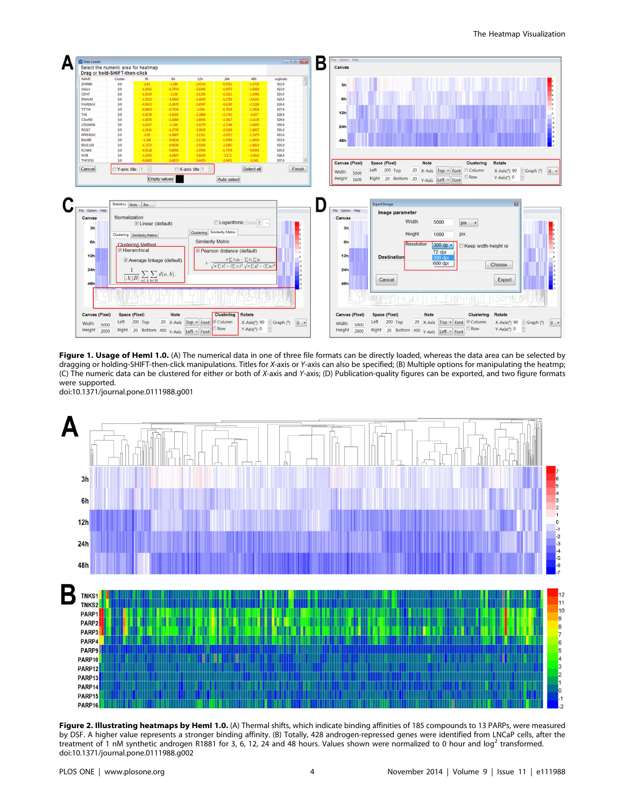

Figure 1. Usage of HemI 1.0. (A) The numerical data in one of three file formats can be directly loaded, whereas the data area can be selected by dragging or holding-SHIFT-then-click manipulations. Titles for X-axis or Y-axis can also be specified; (B) Multiple options for manipulating the heatmp; (C) The numeric data can be clustered for either or both of X-axis and Y-axis; (D) Publication-quality figures can be exported, and two figure formats were supported. doi:10.1371/journal.pone.0111988.g001



Figure 2. Illustrating heatmaps by HemI 1.0. (A) Thermal shifts, which indicate binding affinities of 185 compounds to 13 PARPs, were measured by DSF. A higher value represents a stronger binding affinity. (B) Totally, 428 androgen-repressed genes were identified from LNCaP cells, after the treatment of 1 nM synthetic androgen R1881 for 3, 6, 12, 24 and 48 hours. Values shown were normalized to 0 hour and log<sup>2</sup> transformed. doi:10.1371/journal.pone.0111988.g002